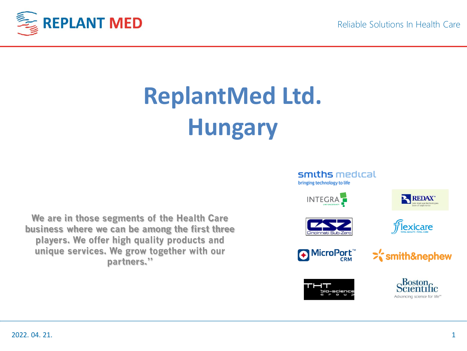

# **ReplantMed Ltd. Hungary**

**We are in those segments of the Health Care business where we can be among the first three players. We offer high quality products and unique services. We grow together with our partners."**

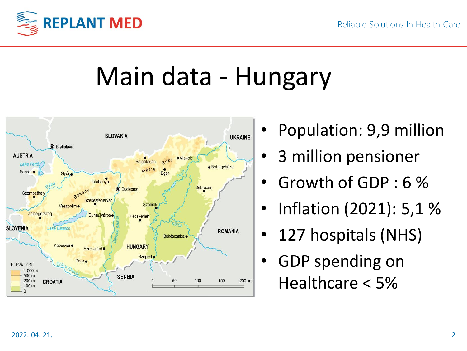

# Main data - Hungary



- Population: 9,9 million
- 3 million pensioner
- Growth of GDP : 6 %
- Inflation (2021): 5,1 %
- 127 hospitals (NHS)
- GDP spending on Healthcare < 5%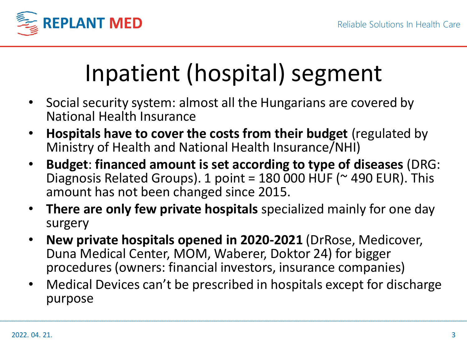

## Inpatient (hospital) segment

- Social security system: almost all the Hungarians are covered by National Health Insurance
- **Hospitals have to cover the costs from their budget** (regulated by Ministry of Health and National Health Insurance/NHI)
- **Budget**: **financed amount is set according to type of diseases** (DRG: Diagnosis Related Groups). 1 point = 180 000 HUF ( $\sim$  490 EUR). This amount has not been changed since 2015.
- **There are only few private hospitals** specialized mainly for one day surgery
- **New private hospitals opened in 2020-2021** (DrRose, Medicover, Duna Medical Center, MOM, Waberer, Doktor 24) for bigger procedures (owners: financial investors, insurance companies)
- Medical Devices can't be prescribed in hospitals except for discharge purpose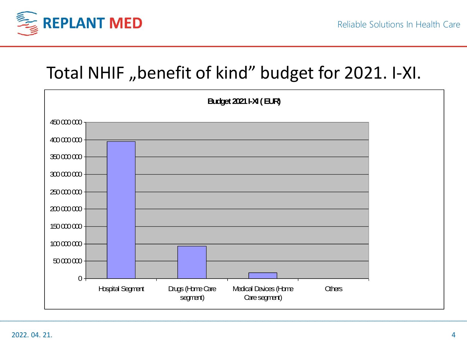

#### Total NHIF "benefit of kind" budget for 2021. I-XI.

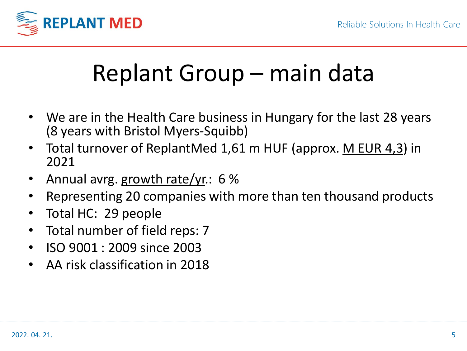

## Replant Group – main data

- We are in the Health Care business in Hungary for the last 28 years (8 years with Bristol Myers-Squibb)
- Total turnover of ReplantMed 1,61 m HUF (approx. M EUR 4,3) in 2021
- Annual avrg. growth rate/yr.: 6 %
- Representing 20 companies with more than ten thousand products
- Total HC: 29 people
- Total number of field reps: 7
- ISO 9001 : 2009 since 2003
- AA risk classification in 2018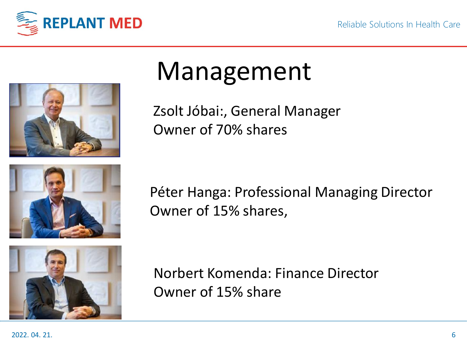



## Management

Zsolt Jóbai:, General Manager Owner of 70% shares



Péter Hanga: Professional Managing Director Owner of 15% shares,



Norbert Komenda: Finance Director Owner of 15% share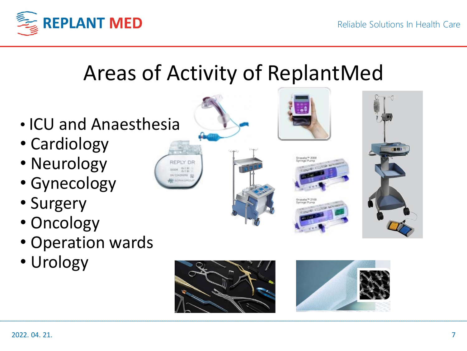

### Areas of Activity of ReplantMed

- ICU and Anaesthesia
- Cardiology
- Neurology
- Gynecology
- Surgery
- Oncology
- Operation wards
- Urology













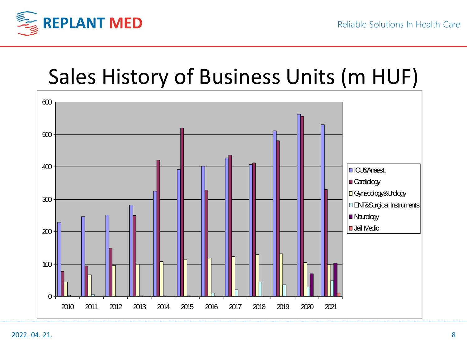

#### Sales History of Business Units (m HUF)

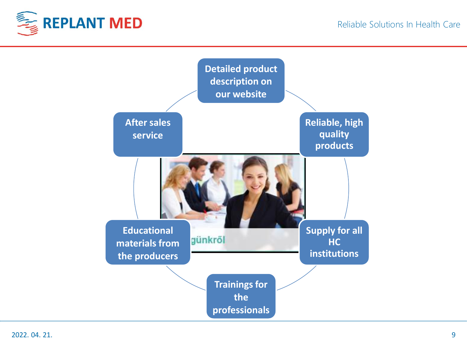

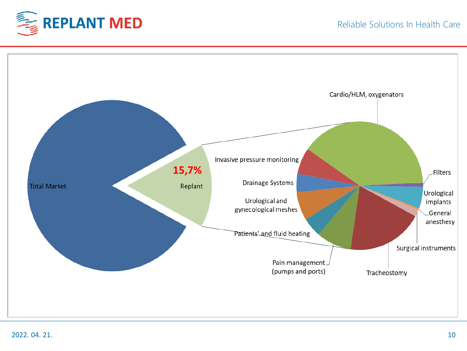



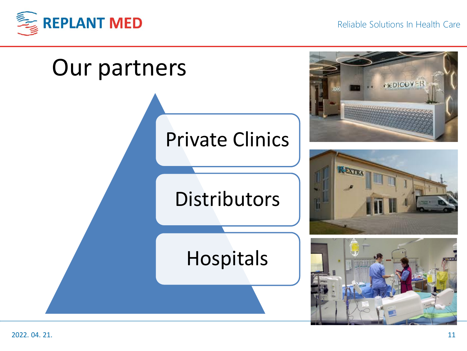

Reliable Solutions In Health Care